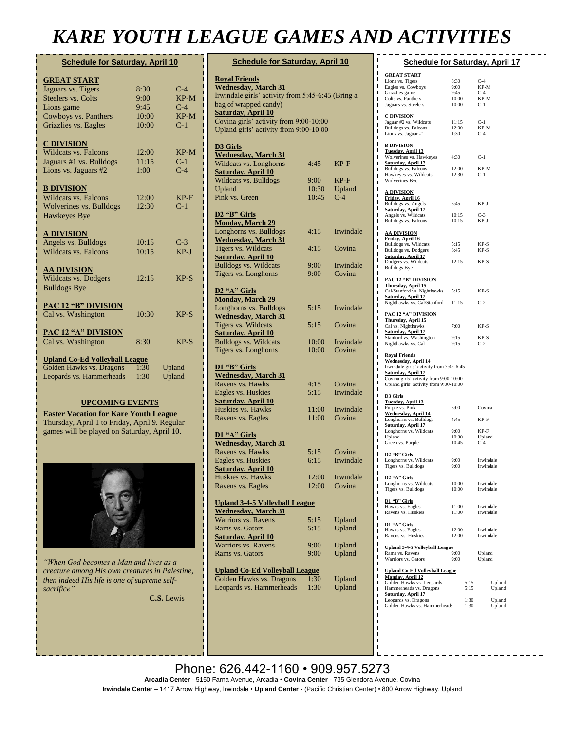## *KARE YOUTH LEAGUE GAMES AND ACTIVITIES*

| <b>Schedule for Saturday, April 10</b> |       |        |  |
|----------------------------------------|-------|--------|--|
| <b>GREAT START</b>                     |       |        |  |
| Jaguars vs. Tigers                     | 8:30  | $C-4$  |  |
| <b>Steelers vs. Colts</b>              | 9:00  | $KP-M$ |  |
| Lions game                             | 9:45  | $C-4$  |  |
| Cowboys vs. Panthers                   | 10:00 | $KP-M$ |  |
| Grizzlies vs. Eagles                   | 10:00 | $C-1$  |  |
| <u>C DIVISION</u>                      |       |        |  |
| Wildcats vs. Falcons                   | 12:00 | $KP-M$ |  |
| Jaguars #1 vs. Bulldogs                | 11:15 | $C-1$  |  |
| Lions vs. Jaguars #2                   | 1:00  | $C-4$  |  |
| <b>B DIVISION</b>                      |       |        |  |
| <b>Wildcats vs. Falcons</b>            | 12:00 | $KP-F$ |  |
| Wolverines vs. Bulldogs                | 12:30 | $C-1$  |  |
| Hawkeyes Bye                           |       |        |  |
| <u>A DIVISION</u>                      |       |        |  |
| Angels vs. Bulldogs                    | 10:15 | $C-3$  |  |
| <b>Wildcats vs. Falcons</b>            | 10:15 | $KP-J$ |  |
| <b>AA DIVISION</b>                     |       |        |  |
| Wildcats vs. Dodgers                   | 12:15 | $KP-S$ |  |
| <b>Bulldogs Bye</b>                    |       |        |  |
| <b>PAC 12 "B" DIVISION</b>             |       |        |  |
| Cal vs. Washington                     | 10:30 | $KP-S$ |  |
| <b>PAC 12 "A" DIVISION</b>             |       |        |  |
| Cal vs. Washington                     | 8:30  | $KP-S$ |  |
| <b>Upland Co-Ed Volleyball League</b>  |       |        |  |
| Golden Hawks vs. Dragons               | 1:30  | Upland |  |
| Leopards vs. Hammerheads               | 1:30  | Upland |  |

#### **UPCOMING EVENTS**

**Easter Vacation for Kare Youth League** Thursday, April 1 to Friday, April 9. Regular games will be played on Saturday, April 10.



*"When God becomes a Man and lives as a creature among His own creatures in Palestine, then indeed His life is one of supreme selfsacrifice"*

**[C.S.](https://www.brainyquote.com/authors/saint-patrick-quotes)** Lewis

| <b>Schedule for Saturday, April 10</b>                                     |                |                 |  |
|----------------------------------------------------------------------------|----------------|-----------------|--|
| <b>Royal Friends</b><br><b>Wednesday, March 31</b>                         |                |                 |  |
| Irwindale girls' activity from 5:45-6:45 (Bring a<br>bag of wrapped candy) |                |                 |  |
| <b>Saturday, April 10</b>                                                  |                |                 |  |
| Covina girls' activity from 9:00-10:00                                     |                |                 |  |
| Upland girls' activity from 9:00-10:00                                     |                |                 |  |
| D3 Girls                                                                   |                |                 |  |
| <b>Wednesday</b> , March 31                                                |                |                 |  |
| Wildcats vs. Longhorns                                                     | 4:45           | KP-F            |  |
| <b>Saturday, April 10</b>                                                  |                |                 |  |
| <b>Wildcats vs. Bulldogs</b>                                               | 9:00           | KP-F            |  |
| Upland<br>Pink vs. Green                                                   | 10:30<br>10:45 | Upland<br>$C-4$ |  |
|                                                                            |                |                 |  |
| D <sub>2</sub> "B" Girls                                                   |                |                 |  |
| <b>Monday, March 29</b>                                                    |                |                 |  |
| Longhorns vs. Bulldogs                                                     | 4:15           | Irwindale       |  |
| <b>Wednesday, March 31</b>                                                 |                |                 |  |
| Tigers vs. Wildcats                                                        | 4:15           | Covina          |  |
| <b>Saturday, April 10</b>                                                  |                |                 |  |
| <b>Bulldogs vs. Wildcats</b>                                               | 9:00           | Irwindale       |  |
| Tigers vs. Longhorns                                                       | 9:00           | Covina          |  |
| D2 "A" Girls                                                               |                |                 |  |
| <b>Monday, March 29</b>                                                    |                |                 |  |
| Longhorns vs. Bulldogs                                                     | 5:15           | Irwindale       |  |
| <b>Wednesday, March 31</b>                                                 |                |                 |  |
| Tigers vs. Wildcats                                                        | 5:15           | Covina          |  |
| <b>Saturday, April 10</b>                                                  |                |                 |  |
| <b>Bulldogs vs. Wildcats</b>                                               | 10:00          | Irwindale       |  |
| Tigers vs. Longhorns                                                       | 10:00          | Covina          |  |
| D1 "B" Girls                                                               |                |                 |  |
| <b>Wednesday</b> , March 31                                                |                |                 |  |
| Ravens vs. Hawks                                                           | 4:15           | Covina          |  |
| Eagles vs. Huskies                                                         | 5:15           | Irwindale       |  |
| <b>Saturday, April 10</b>                                                  |                |                 |  |
| Huskies vs. Hawks                                                          | 11:00          | Irwindale       |  |
| Ravens vs. Eagles                                                          | 11:00          | Covina          |  |
| D1 "A" Girls                                                               |                |                 |  |
| <b>Wednesday</b> , March 31                                                |                |                 |  |
| Ravens vs. Hawks                                                           | 5:15           | Covina          |  |
| Eagles vs. Huskies                                                         | 6:15           | Irwindale       |  |
| <b>Saturday, April 10</b>                                                  |                |                 |  |
| Huskies vs. Hawks                                                          | 12:00          | Irwindale       |  |
| Ravens vs. Eagles                                                          | 12:00          | Covina          |  |
| <b>Upland 3-4-5 Volleyball League</b>                                      |                |                 |  |
| <b>Wednesday, March 31</b>                                                 |                |                 |  |
| Warriors vs. Ravens                                                        | 5:15           | Upland          |  |
| Rams vs. Gators                                                            | 5:15           | Upland          |  |
| <b>Saturday, April 10</b>                                                  |                |                 |  |
| <b>Warriors vs. Ravens</b>                                                 | 9:00           | Upland          |  |
| Rams vs. Gators                                                            | 9:00           | Upland          |  |
| <b>Upland Co-Ed Volleyball League</b>                                      |                |                 |  |
| <b>Golden Hawks vs. Dragons</b>                                            | 1:30           | Upland          |  |
| Leopards vs. Hammerheads                                                   | 1:30           | Upland          |  |

| <b>Schedule for Saturday, April 17</b>                          |                        |                        |  |  |
|-----------------------------------------------------------------|------------------------|------------------------|--|--|
| <b>GREAT START</b>                                              |                        |                        |  |  |
| Lions vs. Tigers                                                | 8:30                   | $C-4$                  |  |  |
| Eagles vs. Cowboys<br>Grizzlies game                            | $9:00$<br>$9:45$       | KP-M<br>$C-4$          |  |  |
| Colts vs. Panthers                                              | 10:00                  | KP-M                   |  |  |
| Jaguars vs. Steelers                                            | 10:00                  | $C-1$                  |  |  |
| <u>C DIVISION</u>                                               |                        |                        |  |  |
| Jaguar $#2$ vs. Wildcats<br>Bulldogs vs. Falcons                | 11:15<br>12:00<br>1:30 | $C-1$<br>KP-M          |  |  |
| Lions vs. Jaguar #1                                             |                        | $C-4$                  |  |  |
| <u>B DIVISION</u>                                               |                        |                        |  |  |
| <u>Tuesday, April 13</u><br>Wolverines vs. Hawkeyes 4:30        |                        | $C-1$                  |  |  |
| Saturday, April 17                                              |                        |                        |  |  |
| Bulldogs vs. Falcons<br>Hawkeyes vs. Wildcats                   | 12:00<br>12:30         | KP-M<br>$C-1$          |  |  |
| <b>Wolverines Bye</b>                                           |                        |                        |  |  |
| <u>A DIVISION</u>                                               |                        |                        |  |  |
| Friday, April 16<br>Bulldogs vs. Angels                         | 5:45                   | KP-J                   |  |  |
| Saturday, April 17                                              |                        |                        |  |  |
| Angels vs. Wildcats<br>Bulldogs vs. Falcons                     | $10:15$<br>$10:15$     | $C-3$<br>KP-J          |  |  |
|                                                                 |                        |                        |  |  |
| <b>AA DIVISION</b><br>Friday, April 16                          |                        |                        |  |  |
| <b>Bulldogs vs. Wildcats</b>                                    | 5:15                   | KP-S                   |  |  |
| Bulldogs vs. Dodgers<br>Saturday, April 17                      | 6:45                   | $KP-S$                 |  |  |
| Dodgers vs. Wildcats                                            | 12:15                  | $KP-S$                 |  |  |
| <b>Bulldogs Bye</b>                                             |                        |                        |  |  |
| <b>PAC 12 "B" DIVISION</b><br>Thursday, April 15                |                        |                        |  |  |
| Cal/Stanford vs. Nighthawks 5:15                                |                        | KP-S                   |  |  |
| <b>Saturday, April 17</b><br>Nighthawks vs. Cal/Stanford 11:15  |                        | $C-2$                  |  |  |
|                                                                 |                        |                        |  |  |
| PAC 12 "A" DIVISION<br>Thursday, April 15                       |                        |                        |  |  |
| Cal vs. Nighthawks                                              | 7:00                   | KP-S                   |  |  |
| Saturday, April 17<br>Stanford vs. Washington                   | 9:15                   | KP-S                   |  |  |
| Nighthawks vs. Cal                                              | 9:15                   | $C-2$                  |  |  |
| <b>Royal Friends</b>                                            |                        |                        |  |  |
| Wednesday, April 14<br>Irwindale girls' activity from 5:45-6:45 |                        |                        |  |  |
| Saturday, April 17<br>Covina girls' activity from 9:00-10:00    |                        |                        |  |  |
| Upland girls' activity from 9:00-10:00                          |                        |                        |  |  |
| D3 Girls                                                        |                        |                        |  |  |
| <b>Tuesday, April 13</b>                                        |                        |                        |  |  |
| Purple vs. Pink<br>Wednesday, April 14                          | 5:00                   | Covina                 |  |  |
| Longhorns vs. Bulldogs                                          | 4:45                   | KP-F                   |  |  |
| <u>Saturday, April 17</u>                                       |                        |                        |  |  |
| Longhorns vs. Wildcats                                          | 9:00                   | KP-F                   |  |  |
| Upland                                                          | 10:30                  | Upland                 |  |  |
| Green vs. Purple                                                | 10:45                  | $C-4$                  |  |  |
| D <sub>2</sub> "B" Girls                                        | 9:00                   | Irwindale              |  |  |
| Longhorns vs. Wildcats<br>Tigers vs. Bulldogs                   | 9:00                   | Irwindale              |  |  |
| D2 "A" Girls                                                    |                        |                        |  |  |
| Longhorns vs. Wildcats                                          |                        | Irwindale              |  |  |
| Tigers vs. Bulldogs                                             | $10:00$ $10:00$        | Irwindale              |  |  |
| D1 "B" Girls                                                    |                        |                        |  |  |
| Hawks vs. Eagles<br>Ravens vs. Huskies                          | 11:00<br>11:00         | Irwindale<br>Irwindale |  |  |
|                                                                 |                        |                        |  |  |
| D1 "A" Girls<br>Hawks vs. Eagles                                | 12:00                  | Irwindale              |  |  |
| Ravens vs. Huskies                                              | 12:00                  | Irwindale              |  |  |
| <b>Upland 3-4-5 Volleyball League</b>                           |                        |                        |  |  |
| Rams vs. Ravens<br>Warriors vs. Gators                          | 9:00<br>9:00           | Upland<br>Upland       |  |  |
| <b>Upland Co-Ed Volleyball League</b>                           |                        |                        |  |  |
| <b>Monday, April 12</b>                                         |                        |                        |  |  |
| Golden Hawks vs. Leopards<br>Hammerheads vs. Dragons            | 5:15<br>5:15           | Upland<br>Upland       |  |  |
| Saturday, April 17                                              |                        |                        |  |  |
| Leopards vs. Dragons<br>Golden Hawks vs. Hammerheads 1:30       | 1:30                   | Upland<br>Upland       |  |  |
|                                                                 |                        |                        |  |  |
|                                                                 |                        |                        |  |  |
|                                                                 |                        |                        |  |  |